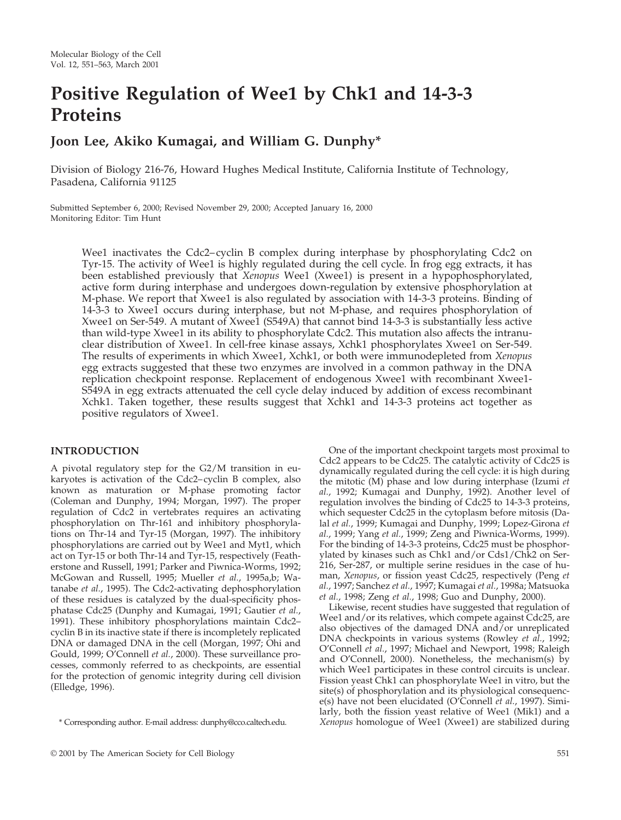# **Positive Regulation of Wee1 by Chk1 and 14-3-3 Proteins**

# **Joon Lee, Akiko Kumagai, and William G. Dunphy\***

Division of Biology 216-76, Howard Hughes Medical Institute, California Institute of Technology, Pasadena, California 91125

Submitted September 6, 2000; Revised November 29, 2000; Accepted January 16, 2000 Monitoring Editor: Tim Hunt

Wee1 inactivates the Cdc2–cyclin B complex during interphase by phosphorylating Cdc2 on Tyr-15. The activity of Wee1 is highly regulated during the cell cycle. In frog egg extracts, it has been established previously that *Xenopus* Wee1 (Xwee1) is present in a hypophosphorylated, active form during interphase and undergoes down-regulation by extensive phosphorylation at M-phase. We report that Xwee1 is also regulated by association with 14-3-3 proteins. Binding of 14-3-3 to Xwee1 occurs during interphase, but not M-phase, and requires phosphorylation of Xwee1 on Ser-549. A mutant of Xwee1 (S549A) that cannot bind 14-3-3 is substantially less active than wild-type Xwee1 in its ability to phosphorylate Cdc2. This mutation also affects the intranuclear distribution of Xwee1. In cell-free kinase assays, Xchk1 phosphorylates Xwee1 on Ser-549. The results of experiments in which Xwee1, Xchk1, or both were immunodepleted from *Xenopus* egg extracts suggested that these two enzymes are involved in a common pathway in the DNA replication checkpoint response. Replacement of endogenous Xwee1 with recombinant Xwee1- S549A in egg extracts attenuated the cell cycle delay induced by addition of excess recombinant Xchk1. Taken together, these results suggest that Xchk1 and 14-3-3 proteins act together as positive regulators of Xwee1.

#### **INTRODUCTION**

A pivotal regulatory step for the G2/M transition in eukaryotes is activation of the Cdc2–cyclin B complex, also known as maturation or M-phase promoting factor (Coleman and Dunphy, 1994; Morgan, 1997). The proper regulation of Cdc2 in vertebrates requires an activating phosphorylation on Thr-161 and inhibitory phosphorylations on Thr-14 and Tyr-15 (Morgan, 1997). The inhibitory phosphorylations are carried out by Wee1 and Myt1, which act on Tyr-15 or both Thr-14 and Tyr-15, respectively (Featherstone and Russell, 1991; Parker and Piwnica-Worms, 1992; McGowan and Russell, 1995; Mueller *et al.*, 1995a,b; Watanabe *et al.*, 1995). The Cdc2-activating dephosphorylation of these residues is catalyzed by the dual-specificity phosphatase Cdc25 (Dunphy and Kumagai, 1991; Gautier *et al.*, 1991). These inhibitory phosphorylations maintain Cdc2– cyclin B in its inactive state if there is incompletely replicated DNA or damaged DNA in the cell (Morgan, 1997; Ohi and Gould, 1999; O'Connell *et al.*, 2000). These surveillance processes, commonly referred to as checkpoints, are essential for the protection of genomic integrity during cell division (Elledge, 1996).

One of the important checkpoint targets most proximal to Cdc2 appears to be Cdc25. The catalytic activity of Cdc25 is dynamically regulated during the cell cycle: it is high during the mitotic (M) phase and low during interphase (Izumi *et al.*, 1992; Kumagai and Dunphy, 1992). Another level of regulation involves the binding of Cdc25 to 14-3-3 proteins, which sequester Cdc25 in the cytoplasm before mitosis (Dalal *et al.*, 1999; Kumagai and Dunphy, 1999; Lopez-Girona *et al.*, 1999; Yang *et al.*, 1999; Zeng and Piwnica-Worms, 1999). For the binding of 14-3-3 proteins, Cdc25 must be phosphorylated by kinases such as Chk1 and/or Cds1/Chk2 on Ser-216, Ser-287, or multiple serine residues in the case of human, *Xenopus*, or fission yeast Cdc25, respectively (Peng *et al.*, 1997; Sanchez *et al.*, 1997; Kumagai *et al.*, 1998a; Matsuoka *et al.*, 1998; Zeng *et al.*, 1998; Guo and Dunphy, 2000).

Likewise, recent studies have suggested that regulation of Wee1 and/or its relatives, which compete against Cdc25, are also objectives of the damaged DNA and/or unreplicated DNA checkpoints in various systems (Rowley *et al.*, 1992; O'Connell *et al.*, 1997; Michael and Newport, 1998; Raleigh and O'Connell, 2000). Nonetheless, the mechanism(s) by which Wee1 participates in these control circuits is unclear. Fission yeast Chk1 can phosphorylate Wee1 in vitro, but the site(s) of phosphorylation and its physiological consequence(s) have not been elucidated (O'Connell *et al.*, 1997). Similarly, both the fission yeast relative of Wee1 (Mik1) and a \* Corresponding author. E-mail address: dunphy@cco.caltech.edu. *Xenopus* homologue of Wee1 (Xwee1) are stabilized during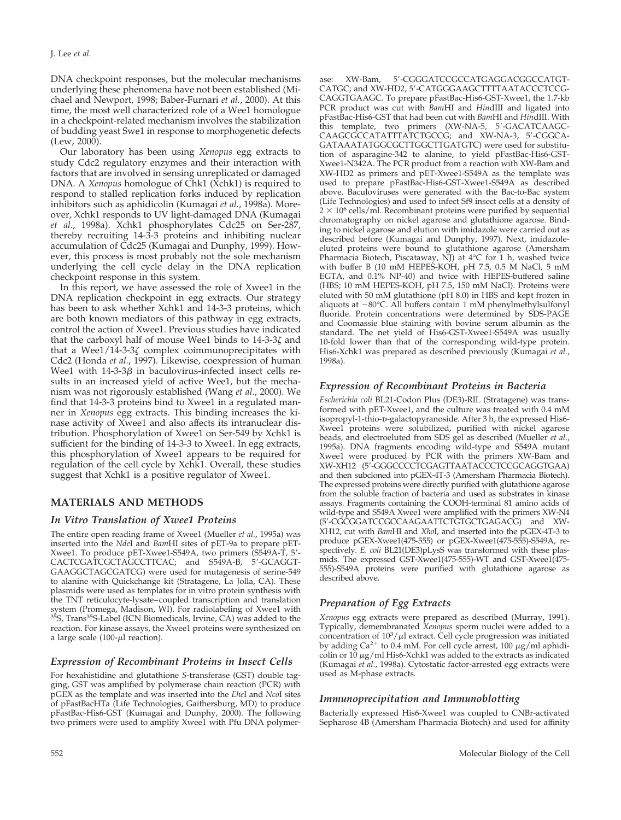DNA checkpoint responses, but the molecular mechanisms underlying these phenomena have not been established (Michael and Newport, 1998; Baber-Furnari *et al.*, 2000). At this time, the most well characterized role of a Wee1 homologue in a checkpoint-related mechanism involves the stabilization of budding yeast Swe1 in response to morphogenetic defects (Lew, 2000).

Our laboratory has been using *Xenopus* egg extracts to study Cdc2 regulatory enzymes and their interaction with factors that are involved in sensing unreplicated or damaged DNA. A *Xenopus* homologue of Chk1 (Xchk1) is required to respond to stalled replication forks induced by replication inhibitors such as aphidicolin (Kumagai *et al.*, 1998a). Moreover, Xchk1 responds to UV light-damaged DNA (Kumagai *et al.*, 1998a). Xchk1 phosphorylates Cdc25 on Ser-287, thereby recruiting 14-3-3 proteins and inhibiting nuclear accumulation of Cdc25 (Kumagai and Dunphy, 1999). However, this process is most probably not the sole mechanism underlying the cell cycle delay in the DNA replication checkpoint response in this system.

In this report, we have assessed the role of Xwee1 in the DNA replication checkpoint in egg extracts. Our strategy has been to ask whether Xchk1 and 14-3-3 proteins, which are both known mediators of this pathway in egg extracts, control the action of Xwee1. Previous studies have indicated that the carboxyl half of mouse Wee1 binds to  $14-3-3\zeta$  and that a Wee $1/14$ -3-3 $\zeta$  complex coimmunoprecipitates with Cdc2 (Honda *et al.*, 1997). Likewise, coexpression of human Wee1 with  $14-3-3\beta$  in baculovirus-infected insect cells results in an increased yield of active Wee1, but the mechanism was not rigorously established (Wang *et al.*, 2000). We find that 14-3-3 proteins bind to Xwee1 in a regulated manner in *Xenopus* egg extracts. This binding increases the kinase activity of Xwee1 and also affects its intranuclear distribution. Phosphorylation of Xwee1 on Ser-549 by Xchk1 is sufficient for the binding of 14-3-3 to Xwee1. In egg extracts, this phosphorylation of Xwee1 appears to be required for regulation of the cell cycle by Xchk1. Overall, these studies suggest that Xchk1 is a positive regulator of Xwee1.

# **MATERIALS AND METHODS**

#### *In Vitro Translation of Xwee1 Proteins*

The entire open reading frame of Xwee1 (Mueller *et al.*, 1995a) was inserted into the *Nde*I and *Bam*HI sites of pET-9a to prepare pET-Xwee1. To produce pET-Xwee1-S549A, two primers (S549A-T, 5'-CACTCGATCGCTAGCCTTCAC; and S549A-B, 5'-GCAGGT-GAAGGCTAGCGATCG) were used for mutagenesis of serine-549 to alanine with Quickchange kit (Stratagene, La Jolla, CA). These plasmids were used as templates for in vitro protein synthesis with the TNT reticulocyte-lysate–coupled transcription and translation system (Promega, Madison, WI). For radiolabeling of Xwee1 with<br><sup>35</sup>S, Trans<sup>35</sup>S-Label (ICN Biomedicals, Irvine, CA) was added to the reaction. For kinase assays, the Xwee1 proteins were synthesized on a large scale (100- $\mu$ l reaction).

#### *Expression of Recombinant Proteins in Insect Cells*

For hexahistidine and glutathione *S*-transferase (GST) double tagging, GST was amplified by polymerase chain reaction (PCR) with pGEX as the template and was inserted into the *Ehe*I and *Nco*I sites of pFastBacHTa (Life Technologies, Gaithersburg, MD) to produce pFastBac-His6-GST (Kumagai and Dunphy, 2000). The following two primers were used to amplify Xwee1 with Pfu DNA polymerase: XW-Bam, 5'-CGGGATCCGCCATGAGGACGGCCATGT-CATGC; and XW-HD2, 5'-CATGGGAAGCTTTTAATACCCTCCG-CAGGTGAAGC. To prepare pFastBac-His6-GST-Xwee1, the 1.7-kb PCR product was cut with *Bam*HI and *Hin*dIII and ligated into pFastBac-His6-GST that had been cut with *Bam*HI and *Hin*dIII. With this template, two primers (XW-NA-5, 5'-GACATCAAGC-CAAGCGCCATATTTATCTGCCG; and XW-NA-3, 5'-CGGCA-GATAAATATGGCGCTTGGCTTGATGTC) were used for substitution of asparagine-342 to alanine, to yield pFastBac-His6-GST-Xwee1-N342A. The PCR product from a reaction with XW-Bam and XW-HD2 as primers and pET-Xwee1-S549A as the template was used to prepare pFastBac-His6-GST-Xwee1-S549A as described above. Baculoviruses were generated with the Bac-to-Bac system (Life Technologies) and used to infect Sf9 insect cells at a density of  $2 \times 10^6$  cells/ml. Recombinant proteins were purified by sequential chromatography on nickel agarose and glutathione agarose. Binding to nickel agarose and elution with imidazole were carried out as described before (Kumagai and Dunphy, 1997). Next, imidazoleeluted proteins were bound to glutathione agarose (Amersham Pharmacia Biotech, Piscataway, NJ) at 4°C for 1 h, washed twice with buffer B (10 mM HEPES-KOH, pH 7.5, 0.5 M NaCl, 5 mM EGTA, and 0.1% NP-40) and twice with HEPES-buffered saline (HBS; 10 mM HEPES-KOH, pH 7.5, 150 mM NaCl). Proteins were eluted with 50 mM glutathione (pH 8.0) in HBS and kept frozen in aliquots at  $-80^{\circ}$ C. All buffers contain 1 mM phenylmethylsulfonyl fluoride. Protein concentrations were determined by SDS-PAGE and Coomassie blue staining with bovine serum albumin as the standard. The net yield of His6-GST-Xwee1-S549A was usually 10-fold lower than that of the corresponding wild-type protein. His6-Xchk1 was prepared as described previously (Kumagai *et al.*, 1998a).

#### *Expression of Recombinant Proteins in Bacteria*

*Escherichia coli* BL21-Codon Plus (DE3)-RIL (Stratagene) was transformed with pET-Xwee1, and the culture was treated with 0.4 mM isopropyl-1-thio-p-galactopyranoside. After 3 h, the expressed His6-Xwee1 proteins were solubilized, purified with nickel agarose beads, and electroeluted from SDS gel as described (Mueller *et al.*, 1995a). DNA fragments encoding wild-type and S549A mutant Xwee1 were produced by PCR with the primers XW-Bam and XW-XH12 (5'-GGGCCCCTCGAGTTAATACCCTCCGCAGGTGAA) and then subcloned into pGEX-4T-3 (Amersham Pharmacia Biotech). The expressed proteins were directly purified with glutathione agarose from the soluble fraction of bacteria and used as substrates in kinase assays. Fragments containing the COOH-terminal 81 amino acids of wild-type and S549A Xwee1 were amplified with the primers XW-N4 (5'-CGCGGATCCGCCAAGAATTCTGTGCTGAGACG) and XW-XH12, cut with *Bam*HI and *Xho*I, and inserted into the pGEX-4T-3 to produce pGEX-Xwee1(475-555) or pGEX-Xwee1(475-555)-S549A, respectively. *E. coli* BL21(DE3)pLysS was transformed with these plasmids. The expressed GST-Xwee1(475-555)-WT and GST-Xwee1(475- 555)-S549A proteins were purified with glutathione agarose as described above.

# *Preparation of Egg Extracts*

*Xenopus* egg extracts were prepared as described (Murray, 1991). Typically, demembranated *Xenopus* sperm nuclei were added to a concentration of  $10^3/\mu$ l extract. Cell cycle progression was initiated by adding  $Ca^{2+}$  to 0.4 mM. For cell cycle arrest, 100  $\mu$ g/ml aphidicolin or 10  $\mu$ g/ml His6-Xchk1 was added to the extracts as indicated (Kumagai *et al.*, 1998a). Cytostatic factor-arrested egg extracts were used as M-phase extracts.

#### *Immunoprecipitation and Immunoblotting*

Bacterially expressed His6-Xwee1 was coupled to CNBr-activated Sepharose 4B (Amersham Pharmacia Biotech) and used for affinity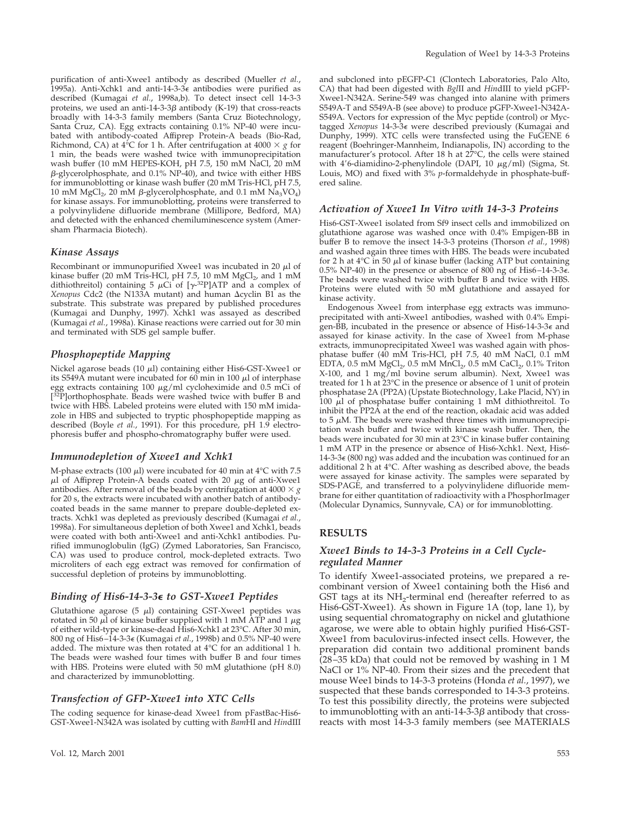purification of anti-Xwee1 antibody as described (Mueller *et al.*, 1995a). Anti-Xchk1 and anti-14-3-3 $\epsilon$  antibodies were purified as described (Kumagai *et al.*, 1998a,b). To detect insect cell 14-3-3 proteins, we used an anti-14-3-3 $\beta$  antibody (K-19) that cross-reacts broadly with 14-3-3 family members (Santa Cruz Biotechnology, Santa Cruz, CA). Egg extracts containing 0.1% NP-40 were incubated with antibody-coated Affiprep Protein-A beads (Bio-Rad, Richmond, CA) at  $4^{\circ}$ C for 1 h. After centrifugation at  $4000 \times g$  for 1 min, the beads were washed twice with immunoprecipitation wash buffer (10 mM HEPES-KOH, pH 7.5, 150 mM NaCl, 20 mM  $\beta$ -glycerolphosphate, and 0.1% NP-40), and twice with either HBS for immunoblotting or kinase wash buffer (20 mM Tris-HCl, pH 7.5, 10 mM MgCl<sub>2</sub>, 20 mM  $\beta$ -glycerolphosphate, and 0.1 mM  $\overline{Na}_3\overline{VO}_4$ ) for kinase assays. For immunoblotting, proteins were transferred to a polyvinylidene difluoride membrane (Millipore, Bedford, MA) and detected with the enhanced chemiluminescence system (Amersham Pharmacia Biotech).

#### *Kinase Assays*

Recombinant or immunopurified Xwee1 was incubated in 20  $\mu$ l of kinase buffer (20 mM Tris-HCl, pH 7.5, 10 mM MgCl<sub>2</sub>, and 1 mM<br>dithiothreitol) containing 5 µCi of [γ-<sup>32</sup>P]ATP and a complex of *Xenopus* Cdc2 (the N133A mutant) and human Δcyclin B1 as the substrate. This substrate was prepared by published procedures (Kumagai and Dunphy, 1997). Xchk1 was assayed as described (Kumagai *et al.*, 1998a). Kinase reactions were carried out for 30 min and terminated with SDS gel sample buffer.

#### *Phosphopeptide Mapping*

Nickel agarose beads (10  $\mu$ l) containing either His6-GST-Xwee1 or its S549A mutant were incubated for 60 min in 100  $\mu$ l of interphase egg extracts containing  $100 \mu\text{g/ml}$  cycloheximide and  $0.5 \text{ mCi}$  of [<sup>32</sup>P]orthophosphate. Beads were washed twice with buffer B and twice with HBS. Labeled proteins were eluted with 150 mM imidazole in HBS and subjected to tryptic phosphopeptide mapping as described (Boyle *et al.*, 1991). For this procedure, pH 1.9 electrophoresis buffer and phospho-chromatography buffer were used.

#### *Immunodepletion of Xwee1 and Xchk1*

M-phase extracts (100  $\mu$ l) were incubated for 40 min at 4°C with 7.5  $\mu$ l of Affiprep Protein-A beads coated with 20  $\mu$ g of anti-Xwee1 antibodies. After removal of the beads by centrifugation at  $4000 \times g$ for 20 s, the extracts were incubated with another batch of antibodycoated beads in the same manner to prepare double-depleted extracts. Xchk1 was depleted as previously described (Kumagai *et al.*, 1998a). For simultaneous depletion of both Xwee1 and Xchk1, beads were coated with both anti-Xwee1 and anti-Xchk1 antibodies. Purified immunoglobulin (IgG) (Zymed Laboratories, San Francisco, CA) was used to produce control, mock-depleted extracts. Two microliters of each egg extract was removed for confirmation of successful depletion of proteins by immunoblotting.

#### *Binding of His6-14-3-3*<sup>e</sup> *to GST-Xwee1 Peptides*

Glutathione agarose (5  $\mu$ l) containing GST-Xwee1 peptides was rotated in 50  $\mu$ l of kinase buffer supplied with 1 mM ATP and 1  $\mu$ g of either wild-type or kinase-dead His6-Xchk1 at 23°C. After 30 min, 800 ng of His6–14-3-3<sup>e</sup> (Kumagai *et al.*, 1998b) and 0.5% NP-40 were added. The mixture was then rotated at 4°C for an additional 1 h. The beads were washed four times with buffer B and four times with HBS. Proteins were eluted with 50 mM glutathione (pH 8.0) and characterized by immunoblotting.

#### *Transfection of GFP-Xwee1 into XTC Cells*

The coding sequence for kinase-dead Xwee1 from pFastBac-His6- GST-Xwee1-N342A was isolated by cutting with *Bam*HI and *Hin*dIII and subcloned into pEGFP-C1 (Clontech Laboratories, Palo Alto, CA) that had been digested with *Bgl*II and *Hin*dIII to yield pGFP-Xwee1-N342A. Serine-549 was changed into alanine with primers S549A-T and S549A-B (see above) to produce pGFP-Xwee1-N342A-S549A. Vectors for expression of the Myc peptide (control) or Myctagged *Xenopus* 14-3-3<sup>e</sup> were described previously (Kumagai and Dunphy, 1999). XTC cells were transfected using the FuGENE 6 reagent (Boehringer-Mannheim, Indianapolis, IN) according to the manufacturer's protocol. After 18 h at 27°C, the cells were stained with 4'6-diamidino-2-phenylindole (DAPI, 10  $\mu$ g/ml) (Sigma, St. Louis, MO) and fixed with 3% *p*-formaldehyde in phosphate-buffered saline.

#### *Activation of Xwee1 In Vitro with 14-3-3 Proteins*

His6-GST-Xwee1 isolated from Sf9 insect cells and immobilized on glutathione agarose was washed once with 0.4% Empigen-BB in buffer B to remove the insect 14-3-3 proteins (Thorson *et al.*, 1998) and washed again three times with HBS. The beads were incubated for 2 h at  $4^{\circ}$ C in 50  $\mu$ l of kinase buffer (lacking ATP but containing 0.5% NP-40) in the presence or absence of 800 ng of His6–14-3-3 $\epsilon$ . The beads were washed twice with buffer B and twice with HBS. Proteins were eluted with 50 mM glutathione and assayed for kinase activity.

Endogenous Xwee1 from interphase egg extracts was immunoprecipitated with anti-Xwee1 antibodies, washed with 0.4% Empigen-BB, incubated in the presence or absence of His6-14-3-3<sup>e</sup> and assayed for kinase activity. In the case of Xwee1 from M-phase extracts, immunoprecipitated Xwee1 was washed again with phosphatase buffer (40 mM Tris-HCl, pH 7.5, 40 mM NaCl, 0.1 mM EDTA, 0.5 mM  $MgCl<sub>2</sub>$ , 0.5 mM  $MnCl<sub>2</sub>$ , 0.5 mM  $CaCl<sub>2</sub>$ , 0.1% Triton X-100, and 1 mg/ml bovine serum albumin). Next, Xwee1 was treated for 1 h at 23°C in the presence or absence of 1 unit of protein phosphatase 2A (PP2A) (Upstate Biotechnology, Lake Placid, NY) in  $100 \mu l$  of phosphatase buffer containing 1 mM dithiothreitol. To inhibit the PP2A at the end of the reaction, okadaic acid was added to  $5 \mu$ M. The beads were washed three times with immunoprecipitation wash buffer and twice with kinase wash buffer. Then, the beads were incubated for 30 min at 23°C in kinase buffer containing 1 mM ATP in the presence or absence of His6-Xchk1. Next, His6- 14-3-3 $\epsilon$  (800 ng) was added and the incubation was continued for an additional 2 h at 4°C. After washing as described above, the beads were assayed for kinase activity. The samples were separated by SDS-PAGE, and transferred to a polyvinylidene difluoride membrane for either quantitation of radioactivity with a PhosphorImager (Molecular Dynamics, Sunnyvale, CA) or for immunoblotting.

#### **RESULTS**

#### *Xwee1 Binds to 14-3-3 Proteins in a Cell Cycleregulated Manner*

To identify Xwee1-associated proteins, we prepared a recombinant version of Xwee1 containing both the His6 and GST tags at its NH<sub>2</sub>-terminal end (hereafter referred to as His6-GST-Xwee1). As shown in Figure 1A (top, lane 1), by using sequential chromatography on nickel and glutathione agarose, we were able to obtain highly purified His6-GST-Xwee1 from baculovirus-infected insect cells. However, the preparation did contain two additional prominent bands (28–35 kDa) that could not be removed by washing in 1 M NaCl or 1% NP-40. From their sizes and the precedent that mouse Wee1 binds to 14-3-3 proteins (Honda *et al.*, 1997), we suspected that these bands corresponded to 14-3-3 proteins. To test this possibility directly, the proteins were subjected to immunoblotting with an anti-14-3-3 $\beta$  antibody that crossreacts with most 14-3-3 family members (see MATERIALS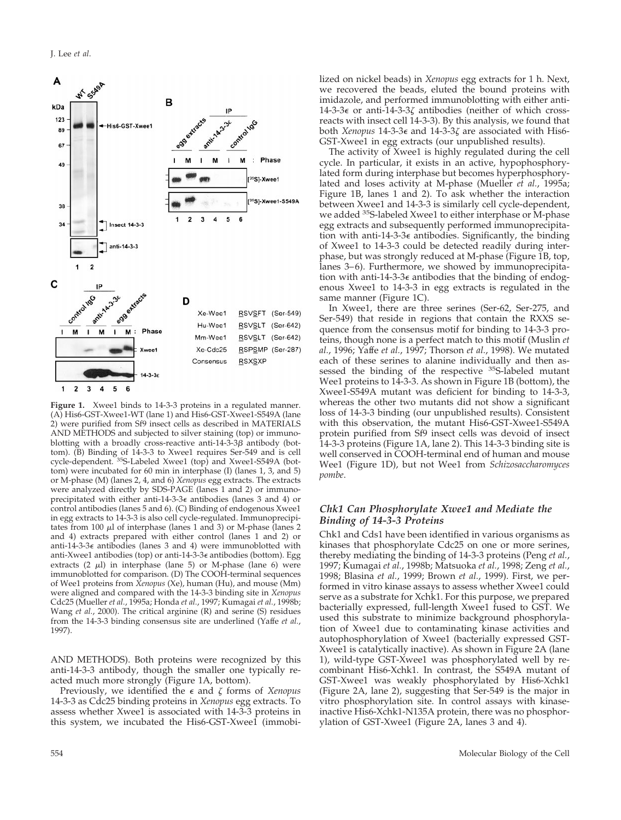

**Figure 1.** Xwee1 binds to 14-3-3 proteins in a regulated manner. (A) His6-GST-Xwee1-WT (lane 1) and His6-GST-Xwee1-S549A (lane 2) were purified from Sf9 insect cells as described in MATERIALS AND METHODS and subjected to silver staining (top) or immunoblotting with a broadly cross-reactive anti-14-3-3 $\beta$  antibody (bottom). (B) Binding of 14-3-3 to Xwee1 requires Ser-549 and is cell cycle-dependent. 35S-Labeled Xwee1 (top) and Xwee1-S549A (bottom) were incubated for 60 min in interphase (I) (lanes 1, 3, and 5) or M-phase (M) (lanes 2, 4, and 6) *Xenopus* egg extracts. The extracts were analyzed directly by SDS-PAGE (lanes 1 and 2) or immunoprecipitated with either anti-14-3-3<sup>e</sup> antibodies (lanes 3 and 4) or control antibodies (lanes 5 and 6). (C) Binding of endogenous Xwee1 in egg extracts to 14-3-3 is also cell cycle-regulated. Immunoprecipitates from 100  $\mu$ l of interphase (lanes 1 and 3) or M-phase (lanes 2 and 4) extracts prepared with either control (lanes 1 and 2) or anti-14-3-3<sup>e</sup> antibodies (lanes 3 and 4) were immunoblotted with anti-Xwee1 antibodies (top) or anti-14-3-3<sup>e</sup> antibodies (bottom). Egg extracts  $(2 \mu l)$  in interphase (lane 5) or M-phase (lane 6) were immunoblotted for comparison. (D) The COOH-terminal sequences of Wee1 proteins from *Xenopus* (Xe), human (Hu), and mouse (Mm) were aligned and compared with the 14-3-3 binding site in *Xenopus* Cdc25 (Mueller *et al.*, 1995a; Honda *et al.*, 1997; Kumagai *et al.*, 1998b; Wang *et al.*, 2000). The critical arginine (R) and serine (S) residues from the 14-3-3 binding consensus site are underlined (Yaffe *et al.*, 1997).

AND METHODS). Both proteins were recognized by this anti-14-3-3 antibody, though the smaller one typically reacted much more strongly (Figure 1A, bottom).

Previously, we identified the  $\epsilon$  and  $\zeta$  forms of *Xenopus* 14-3-3 as Cdc25 binding proteins in *Xenopus* egg extracts. To assess whether Xwee1 is associated with 14-3-3 proteins in this system, we incubated the His6-GST-Xwee1 (immobilized on nickel beads) in *Xenopus* egg extracts for 1 h. Next, we recovered the beads, eluted the bound proteins with imidazole, and performed immunoblotting with either anti-14-3-3 $\epsilon$  or anti-14-3-3 $\zeta$  antibodies (neither of which crossreacts with insect cell 14-3-3). By this analysis, we found that both *Xenopus* 14-3-3<sup>e</sup> and 14-3-3z are associated with His6- GST-Xwee1 in egg extracts (our unpublished results).

The activity of Xwee1 is highly regulated during the cell cycle. In particular, it exists in an active, hypophosphorylated form during interphase but becomes hyperphosphorylated and loses activity at M-phase (Mueller *et al.*, 1995a; Figure 1B, lanes 1 and 2). To ask whether the interaction between Xwee1 and 14-3-3 is similarly cell cycle-dependent, we added <sup>35</sup>S-labeled Xwee1 to either interphase or M-phase egg extracts and subsequently performed immunoprecipitation with anti-14-3-3 $\epsilon$  antibodies. Significantly, the binding of Xwee1 to 14-3-3 could be detected readily during interphase, but was strongly reduced at M-phase (Figure 1B, top, lanes 3–6). Furthermore, we showed by immunoprecipitation with anti-14-3-3 $\epsilon$  antibodies that the binding of endogenous Xwee1 to 14-3-3 in egg extracts is regulated in the same manner (Figure 1C).

In Xwee1, there are three serines (Ser-62, Ser-275, and Ser-549) that reside in regions that contain the RXXS sequence from the consensus motif for binding to 14-3-3 proteins, though none is a perfect match to this motif (Muslin *et al.*, 1996; Yaffe *et al.*, 1997; Thorson *et al.*, 1998). We mutated each of these serines to alanine individually and then assessed the binding of the respective <sup>35</sup>S-labeled mutant Wee1 proteins to 14-3-3. As shown in Figure 1B (bottom), the Xwee1-S549A mutant was deficient for binding to 14-3-3, whereas the other two mutants did not show a significant loss of 14-3-3 binding (our unpublished results). Consistent with this observation, the mutant His6-GST-Xwee1-S549A protein purified from Sf9 insect cells was devoid of insect 14-3-3 proteins (Figure 1A, lane 2). This 14-3-3 binding site is well conserved in COOH-terminal end of human and mouse Wee1 (Figure 1D), but not Wee1 from *Schizosaccharomyces pombe*.

#### *Chk1 Can Phosphorylate Xwee1 and Mediate the Binding of 14-3-3 Proteins*

Chk1 and Cds1 have been identified in various organisms as kinases that phosphorylate Cdc25 on one or more serines, thereby mediating the binding of 14-3-3 proteins (Peng *et al.*, 1997; Kumagai *et al.*, 1998b; Matsuoka *et al.*, 1998; Zeng *et al.*, 1998; Blasina *et al.*, 1999; Brown *et al.*, 1999). First, we performed in vitro kinase assays to assess whether Xwee1 could serve as a substrate for Xchk1. For this purpose, we prepared bacterially expressed, full-length Xwee1 fused to GST. We used this substrate to minimize background phosphorylation of Xwee1 due to contaminating kinase activities and autophosphorylation of Xwee1 (bacterially expressed GST-Xwee1 is catalytically inactive). As shown in Figure 2A (lane 1), wild-type GST-Xwee1 was phosphorylated well by recombinant His6-Xchk1. In contrast, the S549A mutant of GST-Xwee1 was weakly phosphorylated by His6-Xchk1 (Figure 2A, lane 2), suggesting that Ser-549 is the major in vitro phosphorylation site. In control assays with kinaseinactive His6-Xchk1-N135A protein, there was no phosphorylation of GST-Xwee1 (Figure 2A, lanes 3 and 4).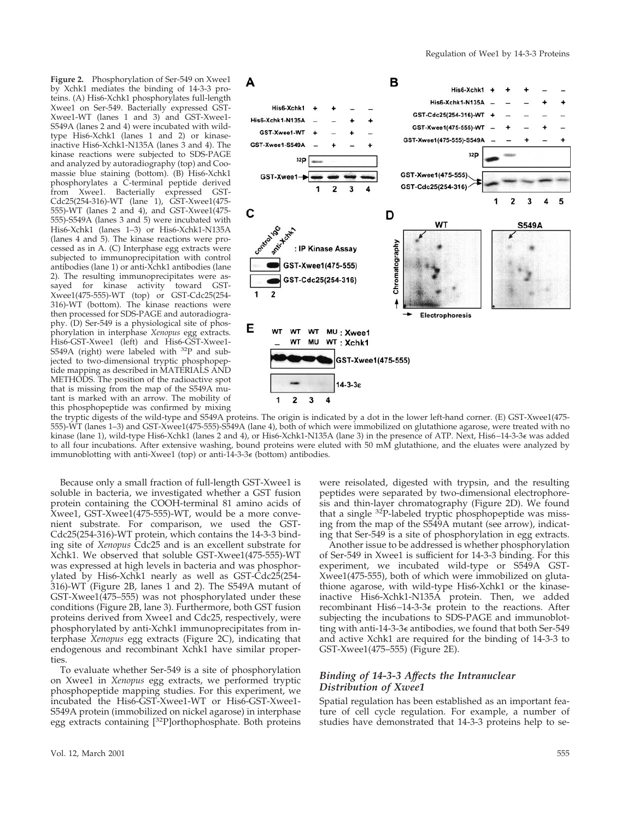**Figure 2.** Phosphorylation of Ser-549 on Xwee1 by Xchk1 mediates the binding of 14-3-3 proteins. (A) His6-Xchk1 phosphorylates full-length Xwee1 on Ser-549. Bacterially expressed GST-Xwee1-WT (lanes 1 and 3) and GST-Xwee1- S549A (lanes 2 and 4) were incubated with wildtype His6-Xchk1 (lanes 1 and 2) or kinaseinactive His6-Xchk1-N135A (lanes 3 and 4). The kinase reactions were subjected to SDS-PAGE and analyzed by autoradiography (top) and Coomassie blue staining (bottom). (B) His6-Xchk1 phosphorylates a C-terminal peptide derived from Xwee1. Bacterially expressed GST-Cdc25(254-316)-WT (lane 1), GST-Xwee1(475- 555)-WT (lanes 2 and 4), and GST-Xwee1(475- 555)-S549A (lanes 3 and 5) were incubated with His6-Xchk1 (lanes 1–3) or His6-Xchk1-N135A (lanes 4 and 5). The kinase reactions were processed as in A. (C) Interphase egg extracts were subjected to immunoprecipitation with control antibodies (lane 1) or anti-Xchk1 antibodies (lane 2). The resulting immunoprecipitates were assayed for kinase activity toward GST-Xwee1(475-555)-WT (top) or GST-Cdc25(254- 316)-WT (bottom). The kinase reactions were then processed for SDS-PAGE and autoradiography. (D) Ser-549 is a physiological site of phosphorylation in interphase *Xenopus* egg extracts. His6-GST-Xwee1 (left) and His6-GST-Xwee1- S549A (right) were labeled with 32P and subjected to two-dimensional tryptic phosphopeptide mapping as described in MATERIALS AND METHODS. The position of the radioactive spot that is missing from the map of the S549A mutant is marked with an arrow. The mobility of this phosphopeptide was confirmed by mixing



the tryptic digests of the wild-type and S549A proteins. The origin is indicated by a dot in the lower left-hand corner. (E) GST-Xwee1(475- 555)-WT (lanes 1–3) and GST-Xwee1(475-555)-S549A (lane 4), both of which were immobilized on glutathione agarose, were treated with no kinase (lane 1), wild-type His6-Xchk1 (lanes 2 and 4), or His6-Xchk1-N135A (lane 3) in the presence of ATP. Next, His6–14-3-3<sup>e</sup> was added to all four incubations. After extensive washing, bound proteins were eluted with 50 mM glutathione, and the eluates were analyzed by immunoblotting with anti-Xwee1 (top) or anti-14-3-3<sup>e</sup> (bottom) antibodies.

Because only a small fraction of full-length GST-Xwee1 is soluble in bacteria, we investigated whether a GST fusion protein containing the COOH-terminal 81 amino acids of Xwee1, GST-Xwee1(475-555)-WT, would be a more convenient substrate. For comparison, we used the GST-Cdc25(254-316)-WT protein, which contains the 14-3-3 binding site of *Xenopus* Cdc25 and is an excellent substrate for Xchk1. We observed that soluble GST-Xwee1(475-555)-WT was expressed at high levels in bacteria and was phosphorylated by His6-Xchk1 nearly as well as GST-Cdc25(254- 316)-WT (Figure 2B, lanes 1 and 2). The S549A mutant of GST-Xwee1(475–555) was not phosphorylated under these conditions (Figure 2B, lane 3). Furthermore, both GST fusion proteins derived from Xwee1 and Cdc25, respectively, were phosphorylated by anti-Xchk1 immunoprecipitates from interphase *Xenopus* egg extracts (Figure 2C), indicating that endogenous and recombinant Xchk1 have similar properties.

To evaluate whether Ser-549 is a site of phosphorylation on Xwee1 in *Xenopus* egg extracts, we performed tryptic phosphopeptide mapping studies. For this experiment, we incubated the His6-GST-Xwee1-WT or His6-GST-Xwee1- S549A protein (immobilized on nickel agarose) in interphase egg extracts containing [32P]orthophosphate. Both proteins

were reisolated, digested with trypsin, and the resulting peptides were separated by two-dimensional electrophoresis and thin-layer chromatography (Figure 2D). We found that a single <sup>32</sup>P-labeled tryptic phosphopeptide was missing from the map of the S549A mutant (see arrow), indicating that Ser-549 is a site of phosphorylation in egg extracts.

Another issue to be addressed is whether phosphorylation of Ser-549 in Xwee1 is sufficient for 14-3-3 binding. For this experiment, we incubated wild-type or S549A GST-Xwee1(475-555), both of which were immobilized on glutathione agarose, with wild-type His6-Xchk1 or the kinaseinactive His6-Xchk1-N135A protein. Then, we added recombinant His6–14-3-3<sup>e</sup> protein to the reactions. After subjecting the incubations to SDS-PAGE and immunoblotting with anti-14-3-3<sup>e</sup> antibodies, we found that both Ser-549 and active Xchk1 are required for the binding of 14-3-3 to GST-Xwee1(475–555) (Figure 2E).

### *Binding of 14-3-3 Affects the Intranuclear Distribution of Xwee1*

Spatial regulation has been established as an important feature of cell cycle regulation. For example, a number of studies have demonstrated that 14-3-3 proteins help to se-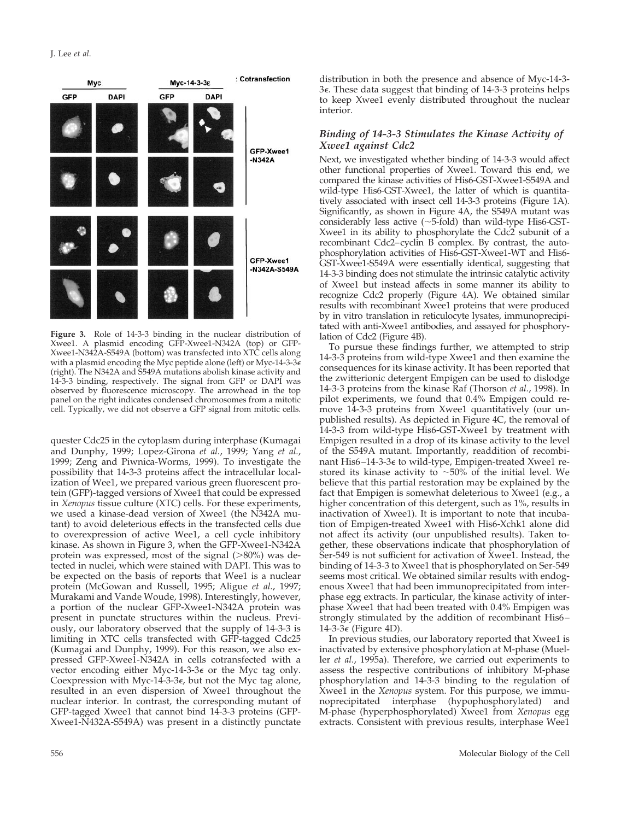

**Figure 3.** Role of 14-3-3 binding in the nuclear distribution of Xwee1. A plasmid encoding GFP-Xwee1-N342A (top) or GFP-Xwee1-N342A-S549A (bottom) was transfected into XTC cells along with a plasmid encoding the Myc peptide alone (left) or Myc-14-3-3 $\epsilon$ (right). The N342A and S549A mutations abolish kinase activity and 14-3-3 binding, respectively. The signal from GFP or DAPI was observed by fluorescence microscopy. The arrowhead in the top panel on the right indicates condensed chromosomes from a mitotic cell. Typically, we did not observe a GFP signal from mitotic cells.

quester Cdc25 in the cytoplasm during interphase (Kumagai and Dunphy, 1999; Lopez-Girona *et al.*, 1999; Yang *et al.*, 1999; Zeng and Piwnica-Worms, 1999). To investigate the possibility that 14-3-3 proteins affect the intracellular localization of Wee1, we prepared various green fluorescent protein (GFP)-tagged versions of Xwee1 that could be expressed in *Xenopus* tissue culture (XTC) cells. For these experiments, we used a kinase-dead version of Xwee1 (the N342A mutant) to avoid deleterious effects in the transfected cells due to overexpression of active Wee1, a cell cycle inhibitory kinase. As shown in Figure 3, when the GFP-Xwee1-N342A protein was expressed, most of the signal  $(>\!\!80\%)$  was detected in nuclei, which were stained with DAPI. This was to be expected on the basis of reports that Wee1 is a nuclear protein (McGowan and Russell, 1995; Aligue *et al.*, 1997; Murakami and Vande Woude, 1998). Interestingly, however, a portion of the nuclear GFP-Xwee1-N342A protein was present in punctate structures within the nucleus. Previously, our laboratory observed that the supply of 14-3-3 is limiting in XTC cells transfected with GFP-tagged Cdc25 (Kumagai and Dunphy, 1999). For this reason, we also expressed GFP-Xwee1-N342A in cells cotransfected with a vector encoding either Myc-14-3-3 $\epsilon$  or the Myc tag only. Coexpression with Myc-14-3-3 $\epsilon$ , but not the Myc tag alone, resulted in an even dispersion of Xwee1 throughout the nuclear interior. In contrast, the corresponding mutant of GFP-tagged Xwee1 that cannot bind 14-3-3 proteins (GFP-Xwee1-N432A-S549A) was present in a distinctly punctate

distribution in both the presence and absence of Myc-14-3- 3e. These data suggest that binding of 14-3-3 proteins helps to keep Xwee1 evenly distributed throughout the nuclear interior.

#### *Binding of 14-3-3 Stimulates the Kinase Activity of Xwee1 against Cdc2*

Next, we investigated whether binding of 14-3-3 would affect other functional properties of Xwee1. Toward this end, we compared the kinase activities of His6-GST-Xwee1-S549A and wild-type His6-GST-Xwee1, the latter of which is quantitatively associated with insect cell 14-3-3 proteins (Figure 1A). Significantly, as shown in Figure 4A, the S549A mutant was considerably less active  $(\sim 5$ -fold) than wild-type His6-GST-Xwee1 in its ability to phosphorylate the Cdc2 subunit of a recombinant Cdc2–cyclin B complex. By contrast, the autophosphorylation activities of His6-GST-Xwee1-WT and His6- GST-Xwee1-S549A were essentially identical, suggesting that 14-3-3 binding does not stimulate the intrinsic catalytic activity of Xwee1 but instead affects in some manner its ability to recognize Cdc2 properly (Figure 4A). We obtained similar results with recombinant Xwee1 proteins that were produced by in vitro translation in reticulocyte lysates, immunoprecipitated with anti-Xwee1 antibodies, and assayed for phosphorylation of Cdc2 (Figure 4B).

To pursue these findings further, we attempted to strip 14-3-3 proteins from wild-type Xwee1 and then examine the consequences for its kinase activity. It has been reported that the zwitterionic detergent Empigen can be used to dislodge 14-3-3 proteins from the kinase Raf (Thorson *et al.*, 1998). In pilot experiments, we found that 0.4% Empigen could remove 14-3-3 proteins from Xwee1 quantitatively (our unpublished results). As depicted in Figure 4C, the removal of 14-3-3 from wild-type His6-GST-Xwee1 by treatment with Empigen resulted in a drop of its kinase activity to the level of the S549A mutant. Importantly, readdition of recombinant His6-14-3-3€ to wild-type, Empigen-treated Xwee1 restored its kinase activity to  $\sim$ 50% of the initial level. We believe that this partial restoration may be explained by the fact that Empigen is somewhat deleterious to Xwee1 (e.g., a higher concentration of this detergent, such as 1%, results in inactivation of Xwee1). It is important to note that incubation of Empigen-treated Xwee1 with His6-Xchk1 alone did not affect its activity (our unpublished results). Taken together, these observations indicate that phosphorylation of Ser-549 is not sufficient for activation of Xwee1. Instead, the binding of 14-3-3 to Xwee1 that is phosphorylated on Ser-549 seems most critical. We obtained similar results with endogenous Xwee1 that had been immunoprecipitated from interphase egg extracts. In particular, the kinase activity of interphase Xwee1 that had been treated with 0.4% Empigen was strongly stimulated by the addition of recombinant His6–  $14-3-3\epsilon$  (Figure 4D).

In previous studies, our laboratory reported that Xwee1 is inactivated by extensive phosphorylation at M-phase (Mueller *et al.*, 1995a). Therefore, we carried out experiments to assess the respective contributions of inhibitory M-phase phosphorylation and 14-3-3 binding to the regulation of Xwee1 in the *Xenopus* system. For this purpose, we immunoprecipitated interphase (hypophosphorylated) and M-phase (hyperphosphorylated) Xwee1 from *Xenopus* egg extracts. Consistent with previous results, interphase Wee1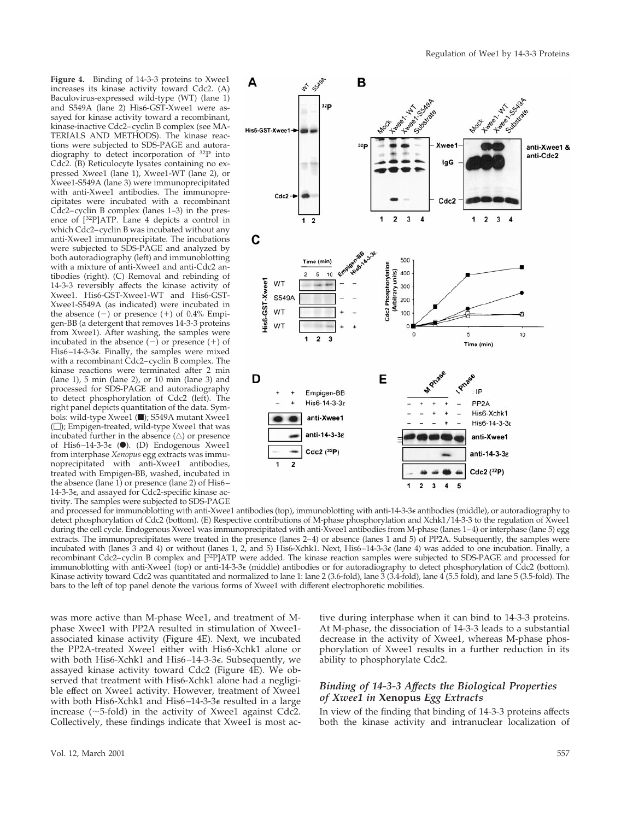**Figure 4.** Binding of 14-3-3 proteins to Xwee1 increases its kinase activity toward Cdc2. (A) Baculovirus-expressed wild-type (WT) (lane 1) and S549A (lane 2) His6-GST-Xwee1 were assayed for kinase activity toward a recombinant, kinase-inactive Cdc2–cyclin B complex (see MA-TERIALS AND METHODS). The kinase reactions were subjected to SDS-PAGE and autoradiography to detect incorporation of 32P into Cdc2. (B) Reticulocyte lysates containing no expressed Xwee1 (lane 1), Xwee1-WT (lane 2), or Xwee1-S549A (lane 3) were immunoprecipitated with anti-Xwee1 antibodies. The immunoprecipitates were incubated with a recombinant Cdc2–cyclin B complex (lanes 1–3) in the presence of [32P]ATP. Lane 4 depicts a control in which Cdc2–cyclin B was incubated without any anti-Xwee1 immunoprecipitate. The incubations were subjected to SDS-PAGE and analyzed by both autoradiography (left) and immunoblotting with a mixture of anti-Xwee1 and anti-Cdc2 antibodies (right). (C) Removal and rebinding of 14-3-3 reversibly affects the kinase activity of Xwee1. His6-GST-Xwee1-WT and His6-GST-Xwee1-S549A (as indicated) were incubated in the absence  $(-)$  or presence  $(+)$  of 0.4% Empigen-BB (a detergent that removes 14-3-3 proteins from Xwee1). After washing, the samples were incubated in the absence  $(-)$  or presence  $(+)$  of His6–14-3-3e. Finally, the samples were mixed with a recombinant Cdc2–cyclin B complex. The kinase reactions were terminated after 2 min (lane 1), 5 min (lane 2), or 10 min (lane 3) and processed for SDS-PAGE and autoradiography to detect phosphorylation of Cdc2 (left). The right panel depicts quantitation of the data. Symbols: wild-type Xwee1 (1); S549A mutant Xwee1  $(\Box)$ ; Empigen-treated, wild-type Xwee1 that was incubated further in the absence  $(\triangle)$  or presence of His6-14-3-3 $\epsilon$  ( $\bullet$ ). (D) Endogenous Xwee1 from interphase *Xenopus* egg extracts was immunoprecipitated with anti-Xwee1 antibodies, treated with Empigen-BB, washed, incubated in the absence (lane 1) or presence (lane 2) of His6–  $14-3-3\epsilon$ , and assayed for Cdc2-specific kinase activity. The samples were subjected to SDS-PAGE



and processed for immunoblotting with anti-Xwee1 antibodies (top), immunoblotting with anti-14-3-3<sup>e</sup> antibodies (middle), or autoradiography to detect phosphorylation of Cdc2 (bottom). (E) Respective contributions of M-phase phosphorylation and Xchk1/14-3-3 to the regulation of Xwee1 during the cell cycle. Endogenous Xwee1 was immunoprecipitated with anti-Xwee1 antibodies from M-phase (lanes 1–4) or interphase (lane 5) egg extracts. The immunoprecipitates were treated in the presence (lanes 2–4) or absence (lanes 1 and 5) of PP2A. Subsequently, the samples were incubated with (lanes 3 and 4) or without (lanes 1, 2, and 5) His6-Xchk1. Next, His6–14-3-3<sup>e</sup> (lane 4) was added to one incubation. Finally, a recombinant Cdc2–cyclin B complex and [32P]ATP were added. The kinase reaction samples were subjected to SDS-PAGE and processed for immunoblotting with anti-Xwee1 (top) or anti-14-3-3<sup>e</sup> (middle) antibodies or for autoradiography to detect phosphorylation of Cdc2 (bottom). Kinase activity toward Cdc2 was quantitated and normalized to lane 1: lane 2 (3.6-fold), lane 3 (3.4-fold), lane 4 (5.5 fold), and lane 5 (3.5-fold). The bars to the left of top panel denote the various forms of Xwee1 with different electrophoretic mobilities.

was more active than M-phase Wee1, and treatment of Mphase Xwee1 with PP2A resulted in stimulation of Xwee1 associated kinase activity (Figure 4E). Next, we incubated the PP2A-treated Xwee1 either with His6-Xchk1 alone or with both His6-Xchk1 and His6–14-3-3e. Subsequently, we assayed kinase activity toward Cdc2 (Figure 4E). We observed that treatment with His6-Xchk1 alone had a negligible effect on Xwee1 activity. However, treatment of Xwee1 with both His6-Xchk1 and His6–14-3-3<sup>e</sup> resulted in a large increase ( $\sim$ 5-fold) in the activity of Xwee1 against Cdc2. Collectively, these findings indicate that Xwee1 is most active during interphase when it can bind to 14-3-3 proteins. At M-phase, the dissociation of 14-3-3 leads to a substantial decrease in the activity of Xwee1, whereas M-phase phosphorylation of Xwee1 results in a further reduction in its ability to phosphorylate Cdc2.

# *Binding of 14-3-3 Affects the Biological Properties of Xwee1 in* **Xenopus** *Egg Extracts*

In view of the finding that binding of 14-3-3 proteins affects both the kinase activity and intranuclear localization of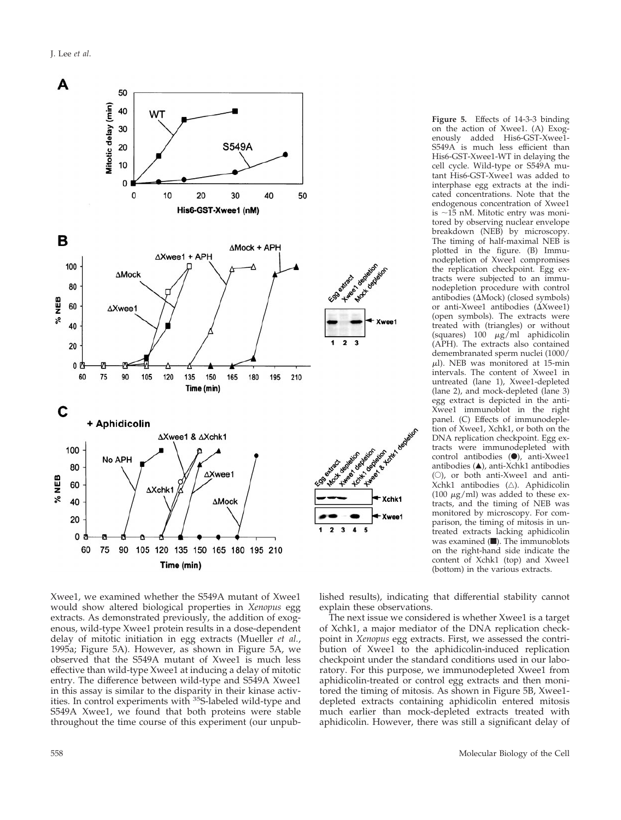J. Lee *et al*.



**Figure 5.** Effects of 14-3-3 binding on the action of Xwee1. (A) Exogenously added His6-GST-Xwee1- S549A is much less efficient than His6-GST-Xwee1-WT in delaying the cell cycle. Wild-type or S549A mutant His6-GST-Xwee1 was added to interphase egg extracts at the indicated concentrations. Note that the endogenous concentration of Xwee1 is  $\sim$ 15 nM. Mitotic entry was monitored by observing nuclear envelope breakdown (NEB) by microscopy. The timing of half-maximal NEB is plotted in the figure. (B) Immunodepletion of Xwee1 compromises the replication checkpoint. Egg extracts were subjected to an immunodepletion procedure with control antibodies ( $\Delta$ Mock) (closed symbols) or anti-Xwee1 antibodies  $(\Delta X$ wee1) (open symbols). The extracts were treated with (triangles) or without (squares)  $100 \mu g/ml$  aphidicolin (APH). The extracts also contained demembranated sperm nuclei (1000/  $\mu$ l). NEB was monitored at 15-min intervals. The content of Xwee1 in untreated (lane 1), Xwee1-depleted (lane 2), and mock-depleted (lane 3) egg extract is depicted in the anti-Xwee1 immunoblot in the right panel. (C) Effects of immunodepletion of Xwee1, Xchk1, or both on the DNA replication checkpoint. Egg extracts were immunodepleted with control antibodies  $(\bullet)$ , anti-Xwee1 antibodies  $($ **A** $)$ , anti-Xchk1 antibodies  $(O)$ , or both anti-Xwee1 and anti-Xchk1 antibodies  $(\triangle)$ . Aphidicolin (100  $\mu$ g/ml) was added to these extracts, and the timing of NEB was monitored by microscopy. For comparison, the timing of mitosis in untreated extracts lacking aphidicolin was examined  $($  $\blacksquare$ ). The immunoblots on the right-hand side indicate the content of Xchk1 (top) and Xwee1 (bottom) in the various extracts.

Xwee1, we examined whether the S549A mutant of Xwee1 would show altered biological properties in *Xenopus* egg extracts. As demonstrated previously, the addition of exogenous, wild-type Xwee1 protein results in a dose-dependent delay of mitotic initiation in egg extracts (Mueller *et al.*, 1995a; Figure 5A). However, as shown in Figure 5A, we observed that the S549A mutant of Xwee1 is much less effective than wild-type Xwee1 at inducing a delay of mitotic entry. The difference between wild-type and S549A Xwee1 in this assay is similar to the disparity in their kinase activities. In control experiments with 35S-labeled wild-type and S549A Xwee1, we found that both proteins were stable throughout the time course of this experiment (our unpublished results), indicating that differential stability cannot explain these observations.

The next issue we considered is whether Xwee1 is a target of Xchk1, a major mediator of the DNA replication checkpoint in *Xenopus* egg extracts. First, we assessed the contribution of Xwee1 to the aphidicolin-induced replication checkpoint under the standard conditions used in our laboratory. For this purpose, we immunodepleted Xwee1 from aphidicolin-treated or control egg extracts and then monitored the timing of mitosis. As shown in Figure 5B, Xwee1 depleted extracts containing aphidicolin entered mitosis much earlier than mock-depleted extracts treated with aphidicolin. However, there was still a significant delay of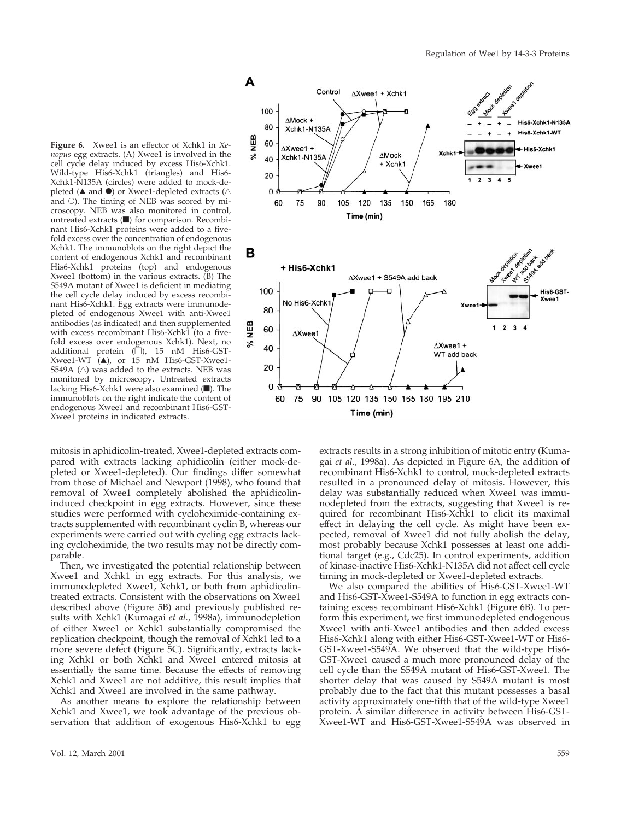**Figure 6.** Xwee1 is an effector of Xchk1 in *Xenopus* egg extracts. (A) Xwee1 is involved in the cell cycle delay induced by excess His6-Xchk1. Wild-type His6-Xchk1 (triangles) and His6- Xchk1-N135A (circles) were added to mock-depleted ( $\blacktriangle$  and  $\blacktriangleright$ ) or Xwee1-depleted extracts ( $\triangle$ and  $\circ$ ). The timing of NEB was scored by microscopy. NEB was also monitored in control, untreated extracts  $(\blacksquare)$  for comparison. Recombinant His6-Xchk1 proteins were added to a fivefold excess over the concentration of endogenous Xchk1. The immunoblots on the right depict the content of endogenous Xchk1 and recombinant His6-Xchk1 proteins (top) and endogenous Xwee1 (bottom) in the various extracts. (B) The S549A mutant of Xwee1 is deficient in mediating the cell cycle delay induced by excess recombinant His6-Xchk1. Egg extracts were immunodepleted of endogenous Xwee1 with anti-Xwee1 antibodies (as indicated) and then supplemented with excess recombinant His6-Xchk1 (to a fivefold excess over endogenous Xchk1). Next, no additional protein  $(\square)$ , 15 nM His6-GST- $Xweel-WT$  (A), or 15 nM His6-GST-Xwee1-S549A  $(\triangle)$  was added to the extracts. NEB was monitored by microscopy. Untreated extracts lacking His6-Xchk1 were also examined  $(\blacksquare)$ . The immunoblots on the right indicate the content of endogenous Xwee1 and recombinant His6-GST-Xwee1 proteins in indicated extracts.

mitosis in aphidicolin-treated, Xwee1-depleted extracts compared with extracts lacking aphidicolin (either mock-depleted or Xwee1-depleted). Our findings differ somewhat from those of Michael and Newport (1998), who found that removal of Xwee1 completely abolished the aphidicolininduced checkpoint in egg extracts. However, since these studies were performed with cycloheximide-containing extracts supplemented with recombinant cyclin B, whereas our experiments were carried out with cycling egg extracts lacking cycloheximide, the two results may not be directly comparable.

Then, we investigated the potential relationship between Xwee1 and Xchk1 in egg extracts. For this analysis, we immunodepleted Xwee1, Xchk1, or both from aphidicolintreated extracts. Consistent with the observations on Xwee1 described above (Figure 5B) and previously published results with Xchk1 (Kumagai *et al.*, 1998a), immunodepletion of either Xwee1 or Xchk1 substantially compromised the replication checkpoint, though the removal of Xchk1 led to a more severe defect (Figure 5C). Significantly, extracts lacking Xchk1 or both Xchk1 and Xwee1 entered mitosis at essentially the same time. Because the effects of removing Xchk1 and Xwee1 are not additive, this result implies that Xchk1 and Xwee1 are involved in the same pathway.

As another means to explore the relationship between Xchk1 and Xwee1, we took advantage of the previous observation that addition of exogenous His6-Xchk1 to egg



extracts results in a strong inhibition of mitotic entry (Kumagai *et al.*, 1998a). As depicted in Figure 6A, the addition of recombinant His6-Xchk1 to control, mock-depleted extracts resulted in a pronounced delay of mitosis. However, this delay was substantially reduced when Xwee1 was immunodepleted from the extracts, suggesting that Xwee1 is required for recombinant His6-Xchk1 to elicit its maximal effect in delaying the cell cycle. As might have been expected, removal of Xwee1 did not fully abolish the delay, most probably because Xchk1 possesses at least one additional target (e.g., Cdc25). In control experiments, addition of kinase-inactive His6-Xchk1-N135A did not affect cell cycle timing in mock-depleted or Xwee1-depleted extracts.

We also compared the abilities of His6-GST-Xwee1-WT and His6-GST-Xwee1-S549A to function in egg extracts containing excess recombinant His6-Xchk1 (Figure 6B). To perform this experiment, we first immunodepleted endogenous Xwee1 with anti-Xwee1 antibodies and then added excess His6-Xchk1 along with either His6-GST-Xwee1-WT or His6- GST-Xwee1-S549A. We observed that the wild-type His6- GST-Xwee1 caused a much more pronounced delay of the cell cycle than the S549A mutant of His6-GST-Xwee1. The shorter delay that was caused by S549A mutant is most probably due to the fact that this mutant possesses a basal activity approximately one-fifth that of the wild-type Xwee1 protein. A similar difference in activity between His6-GST-Xwee1-WT and His6-GST-Xwee1-S549A was observed in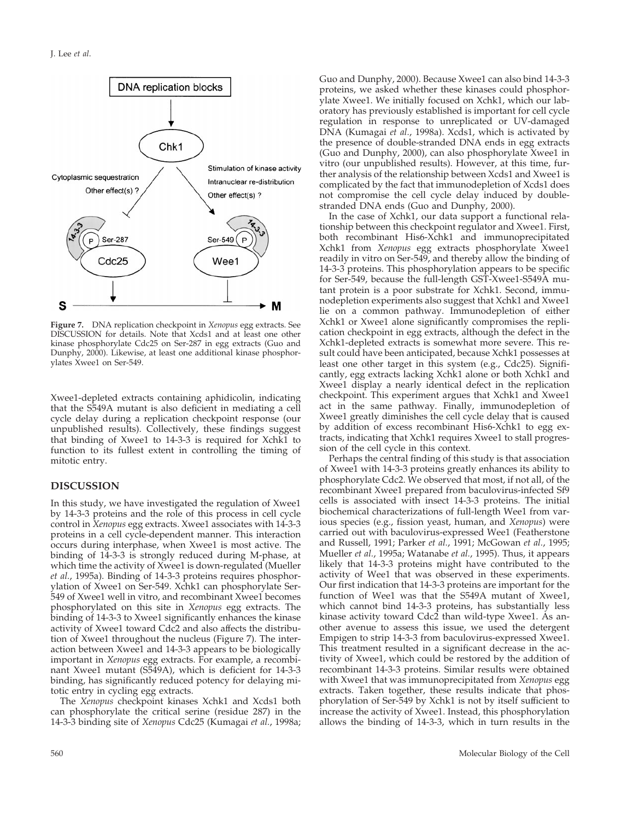

**Figure 7.** DNA replication checkpoint in *Xenopus* egg extracts. See DISCUSSION for details. Note that Xcds1 and at least one other kinase phosphorylate Cdc25 on Ser-287 in egg extracts (Guo and Dunphy, 2000). Likewise, at least one additional kinase phosphorylates Xwee1 on Ser-549.

Xwee1-depleted extracts containing aphidicolin, indicating that the S549A mutant is also deficient in mediating a cell cycle delay during a replication checkpoint response (our unpublished results). Collectively, these findings suggest that binding of Xwee1 to 14-3-3 is required for Xchk1 to function to its fullest extent in controlling the timing of mitotic entry.

# **DISCUSSION**

In this study, we have investigated the regulation of Xwee1 by 14-3-3 proteins and the role of this process in cell cycle control in *Xenopus* egg extracts. Xwee1 associates with 14-3-3 proteins in a cell cycle-dependent manner. This interaction occurs during interphase, when Xwee1 is most active. The binding of 14-3-3 is strongly reduced during M-phase, at which time the activity of Xwee1 is down-regulated (Mueller *et al.*, 1995a). Binding of 14-3-3 proteins requires phosphorylation of Xwee1 on Ser-549. Xchk1 can phosphorylate Ser-549 of Xwee1 well in vitro, and recombinant Xwee1 becomes phosphorylated on this site in *Xenopus* egg extracts. The binding of 14-3-3 to Xwee1 significantly enhances the kinase activity of Xwee1 toward Cdc2 and also affects the distribution of Xwee1 throughout the nucleus (Figure 7). The interaction between Xwee1 and 14-3-3 appears to be biologically important in *Xenopus* egg extracts. For example, a recombinant Xwee1 mutant (S549A), which is deficient for 14-3-3 binding, has significantly reduced potency for delaying mitotic entry in cycling egg extracts.

The *Xenopus* checkpoint kinases Xchk1 and Xcds1 both can phosphorylate the critical serine (residue 287) in the 14-3-3 binding site of *Xenopus* Cdc25 (Kumagai *et al.*, 1998a; Guo and Dunphy, 2000). Because Xwee1 can also bind 14-3-3 proteins, we asked whether these kinases could phosphorylate Xwee1. We initially focused on Xchk1, which our laboratory has previously established is important for cell cycle regulation in response to unreplicated or UV-damaged DNA (Kumagai *et al.*, 1998a). Xcds1, which is activated by the presence of double-stranded DNA ends in egg extracts (Guo and Dunphy, 2000), can also phosphorylate Xwee1 in vitro (our unpublished results). However, at this time, further analysis of the relationship between Xcds1 and Xwee1 is complicated by the fact that immunodepletion of Xcds1 does not compromise the cell cycle delay induced by doublestranded DNA ends (Guo and Dunphy, 2000).

In the case of Xchk1, our data support a functional relationship between this checkpoint regulator and Xwee1. First, both recombinant His6-Xchk1 and immunoprecipitated Xchk1 from *Xenopus* egg extracts phosphorylate Xwee1 readily in vitro on Ser-549, and thereby allow the binding of 14-3-3 proteins. This phosphorylation appears to be specific for Ser-549, because the full-length GST-Xwee1-S549A mutant protein is a poor substrate for Xchk1. Second, immunodepletion experiments also suggest that Xchk1 and Xwee1 lie on a common pathway. Immunodepletion of either Xchk1 or Xwee1 alone significantly compromises the replication checkpoint in egg extracts, although the defect in the Xchk1-depleted extracts is somewhat more severe. This result could have been anticipated, because Xchk1 possesses at least one other target in this system (e.g., Cdc25). Significantly, egg extracts lacking Xchk1 alone or both Xchk1 and Xwee1 display a nearly identical defect in the replication checkpoint. This experiment argues that Xchk1 and Xwee1 act in the same pathway. Finally, immunodepletion of Xwee1 greatly diminishes the cell cycle delay that is caused by addition of excess recombinant His6-Xchk1 to egg extracts, indicating that Xchk1 requires Xwee1 to stall progression of the cell cycle in this context.

Perhaps the central finding of this study is that association of Xwee1 with 14-3-3 proteins greatly enhances its ability to phosphorylate Cdc2. We observed that most, if not all, of the recombinant Xwee1 prepared from baculovirus-infected Sf9 cells is associated with insect 14-3-3 proteins. The initial biochemical characterizations of full-length Wee1 from various species (e.g., fission yeast, human, and *Xenopus*) were carried out with baculovirus-expressed Wee1 (Featherstone and Russell, 1991; Parker *et al.*, 1991; McGowan *et al.*, 1995; Mueller *et al.*, 1995a; Watanabe *et al.*, 1995). Thus, it appears likely that 14-3-3 proteins might have contributed to the activity of Wee1 that was observed in these experiments. Our first indication that 14-3-3 proteins are important for the function of Wee1 was that the S549A mutant of Xwee1, which cannot bind 14-3-3 proteins, has substantially less kinase activity toward Cdc2 than wild-type Xwee1. As another avenue to assess this issue, we used the detergent Empigen to strip 14-3-3 from baculovirus-expressed Xwee1. This treatment resulted in a significant decrease in the activity of Xwee1, which could be restored by the addition of recombinant 14-3-3 proteins. Similar results were obtained with Xwee1 that was immunoprecipitated from *Xenopus* egg extracts. Taken together, these results indicate that phosphorylation of Ser-549 by Xchk1 is not by itself sufficient to increase the activity of Xwee1. Instead, this phosphorylation allows the binding of 14-3-3, which in turn results in the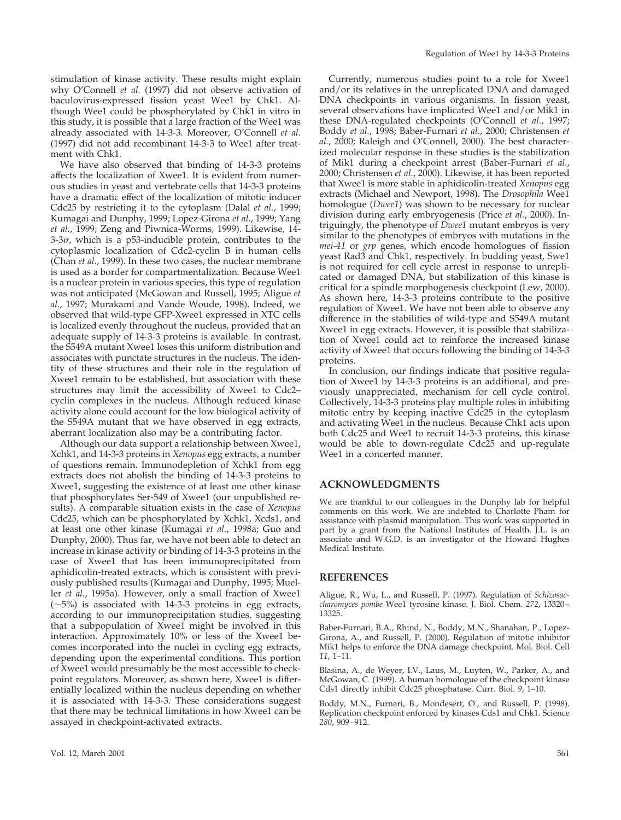stimulation of kinase activity. These results might explain why O'Connell *et al.* (1997) did not observe activation of baculovirus-expressed fission yeast Wee1 by Chk1. Although Wee1 could be phosphorylated by Chk1 in vitro in this study, it is possible that a large fraction of the Wee1 was already associated with 14-3-3. Moreover, O'Connell *et al.* (1997) did not add recombinant 14-3-3 to Wee1 after treatment with Chk1.

We have also observed that binding of 14-3-3 proteins affects the localization of Xwee1. It is evident from numerous studies in yeast and vertebrate cells that 14-3-3 proteins have a dramatic effect of the localization of mitotic inducer Cdc25 by restricting it to the cytoplasm (Dalal *et al.*, 1999; Kumagai and Dunphy, 1999; Lopez-Girona *et al.*, 1999; Yang *et al.*, 1999; Zeng and Piwnica-Worms, 1999). Likewise, 14-  $3-3\sigma$ , which is a p53-inducible protein, contributes to the cytoplasmic localization of Cdc2-cyclin B in human cells (Chan *et al.*, 1999). In these two cases, the nuclear membrane is used as a border for compartmentalization. Because Wee1 is a nuclear protein in various species, this type of regulation was not anticipated (McGowan and Russell, 1995; Aligue *et al.*, 1997; Murakami and Vande Woude, 1998). Indeed, we observed that wild-type GFP-Xwee1 expressed in XTC cells is localized evenly throughout the nucleus, provided that an adequate supply of 14-3-3 proteins is available. In contrast, the S549A mutant Xwee1 loses this uniform distribution and associates with punctate structures in the nucleus. The identity of these structures and their role in the regulation of Xwee1 remain to be established, but association with these structures may limit the accessibility of Xwee1 to Cdc2– cyclin complexes in the nucleus. Although reduced kinase activity alone could account for the low biological activity of the S549A mutant that we have observed in egg extracts, aberrant localization also may be a contributing factor.

Although our data support a relationship between Xwee1, Xchk1, and 14-3-3 proteins in *Xenopus* egg extracts, a number of questions remain. Immunodepletion of Xchk1 from egg extracts does not abolish the binding of 14-3-3 proteins to Xwee1, suggesting the existence of at least one other kinase that phosphorylates Ser-549 of Xwee1 (our unpublished results). A comparable situation exists in the case of *Xenopus* Cdc25, which can be phosphorylated by Xchk1, Xcds1, and at least one other kinase (Kumagai *et al.*, 1998a; Guo and Dunphy, 2000). Thus far, we have not been able to detect an increase in kinase activity or binding of 14-3-3 proteins in the case of Xwee1 that has been immunoprecipitated from aphidicolin-treated extracts, which is consistent with previously published results (Kumagai and Dunphy, 1995; Mueller *et al.*, 1995a). However, only a small fraction of Xwee1  $(-5%)$  is associated with 14-3-3 proteins in egg extracts, according to our immunoprecipitation studies, suggesting that a subpopulation of Xwee1 might be involved in this interaction. Approximately 10% or less of the Xwee1 becomes incorporated into the nuclei in cycling egg extracts, depending upon the experimental conditions. This portion of Xwee1 would presumably be the most accessible to checkpoint regulators. Moreover, as shown here, Xwee1 is differentially localized within the nucleus depending on whether it is associated with 14-3-3. These considerations suggest that there may be technical limitations in how Xwee1 can be assayed in checkpoint-activated extracts.

Currently, numerous studies point to a role for Xwee1 and/or its relatives in the unreplicated DNA and damaged DNA checkpoints in various organisms. In fission yeast, several observations have implicated Wee1 and/or Mik1 in these DNA-regulated checkpoints (O'Connell *et al.*, 1997; Boddy *et al.*, 1998; Baber-Furnari *et al.*, 2000; Christensen *et al.*, 2000; Raleigh and O'Connell, 2000). The best characterized molecular response in these studies is the stabilization of Mik1 during a checkpoint arrest (Baber-Furnari *et al.*, 2000; Christensen *et al.*, 2000). Likewise, it has been reported that Xwee1 is more stable in aphidicolin-treated *Xenopus* egg extracts (Michael and Newport, 1998). The *Drosophila* Wee1 homologue (*Dwee1*) was shown to be necessary for nuclear division during early embryogenesis (Price *et al.*, 2000). Intriguingly, the phenotype of *Dwee1* mutant embryos is very similar to the phenotypes of embryos with mutations in the *mei-41* or *grp* genes, which encode homologues of fission yeast Rad3 and Chk1, respectively. In budding yeast, Swe1 is not required for cell cycle arrest in response to unreplicated or damaged DNA, but stabilization of this kinase is critical for a spindle morphogenesis checkpoint (Lew, 2000). As shown here, 14-3-3 proteins contribute to the positive regulation of Xwee1. We have not been able to observe any difference in the stabilities of wild-type and S549A mutant Xwee1 in egg extracts. However, it is possible that stabilization of Xwee1 could act to reinforce the increased kinase activity of Xwee1 that occurs following the binding of 14-3-3 proteins.

In conclusion, our findings indicate that positive regulation of Xwee1 by 14-3-3 proteins is an additional, and previously unappreciated, mechanism for cell cycle control. Collectively, 14-3-3 proteins play multiple roles in inhibiting mitotic entry by keeping inactive Cdc25 in the cytoplasm and activating Wee1 in the nucleus. Because Chk1 acts upon both Cdc25 and Wee1 to recruit 14-3-3 proteins, this kinase would be able to down-regulate Cdc25 and up-regulate Wee1 in a concerted manner.

#### **ACKNOWLEDGMENTS**

We are thankful to our colleagues in the Dunphy lab for helpful comments on this work. We are indebted to Charlotte Pham for assistance with plasmid manipulation. This work was supported in part by a grant from the National Institutes of Health. J.L. is an associate and W.G.D. is an investigator of the Howard Hughes Medical Institute.

#### **REFERENCES**

Aligue, R., Wu, L., and Russell, P. (1997). Regulation of *Schizosaccharomyces pombe* Wee1 tyrosine kinase. J. Biol. Chem. *272*, 13320– 13325.

Baber-Furnari, B.A., Rhind, N., Boddy, M.N., Shanahan, P., Lopez-Girona, A., and Russell, P. (2000). Regulation of mitotic inhibitor Mik1 helps to enforce the DNA damage checkpoint. Mol. Biol. Cell *11*, 1–11.

Blasina, A., de Weyer, I.V., Laus, M., Luyten, W., Parker, A., and McGowan, C. (1999). A human homologue of the checkpoint kinase Cds1 directly inhibit Cdc25 phosphatase. Curr. Biol. *9*, 1–10.

Boddy, M.N., Furnari, B., Mondesert, O., and Russell, P. (1998). Replication checkpoint enforced by kinases Cds1 and Chk1. Science *280*, 909–912.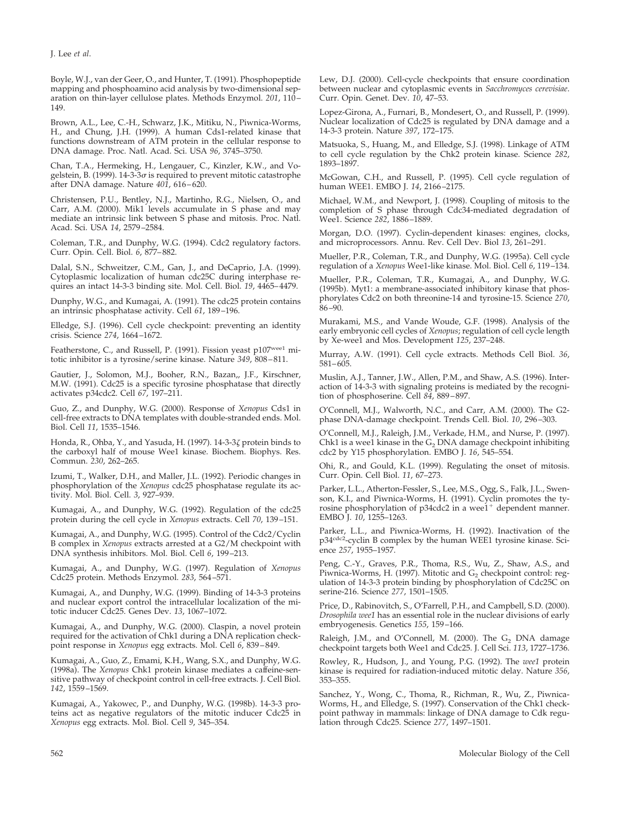Boyle, W.J., van der Geer, O., and Hunter, T. (1991). Phosphopeptide mapping and phosphoamino acid analysis by two-dimensional separation on thin-layer cellulose plates. Methods Enzymol. *201*, 110– 149.

Brown, A.L., Lee, C.-H., Schwarz, J.K., Mitiku, N., Piwnica-Worms, H., and Chung, J.H. (1999). A human Cds1-related kinase that functions downstream of ATM protein in the cellular response to DNA damage. Proc. Natl. Acad. Sci. USA *96*, 3745–3750.

Chan, T.A., Hermeking, H., Lengauer, C., Kinzler, K.W., and Vogelstein, B. (1999). 14-3-3 $\sigma$  is required to prevent mitotic catastrophe after DNA damage. Nature *401*, 616–620.

Christensen, P.U., Bentley, N.J., Martinho, R.G., Nielsen, O., and Carr, A.M. (2000). Mik1 levels accumulate in S phase and may mediate an intrinsic link between S phase and mitosis. Proc. Natl. Acad. Sci. USA *14*, 2579–2584.

Coleman, T.R., and Dunphy, W.G. (1994). Cdc2 regulatory factors. Curr. Opin. Cell. Biol. *6*, 877–882.

Dalal, S.N., Schweitzer, C.M., Gan, J., and DeCaprio, J.A. (1999). Cytoplasmic localization of human cdc25C during interphase requires an intact 14-3-3 binding site. Mol. Cell. Biol. *19*, 4465–4479.

Dunphy, W.G., and Kumagai, A. (1991). The cdc25 protein contains an intrinsic phosphatase activity. Cell *61*, 189–196.

Elledge, S.J. (1996). Cell cycle checkpoint: preventing an identity crisis. Science *274*, 1664–1672.

Featherstone, C., and Russell, P. (1991). Fission yeast p107wee1 mitotic inhibitor is a tyrosine/serine kinase. Nature *349*, 808–811.

Gautier, J., Solomon, M.J., Booher, R.N., Bazan,, J.F., Kirschner, M.W. (1991). Cdc25 is a specific tyrosine phosphatase that directly activates p34cdc2. Cell *67*, 197–211.

Guo, Z., and Dunphy, W.G. (2000). Response of *Xenopus* Cds1 in cell-free extracts to DNA templates with double-stranded ends. Mol. Biol. Cell *11*, 1535–1546.

Honda, R., Ohba, Y., and Yasuda, H. (1997). 14-3-3 $\zeta$  protein binds to the carboxyl half of mouse Wee1 kinase. Biochem. Biophys. Res. Commun. *230*, 262–265.

Izumi, T., Walker, D.H., and Maller, J.L. (1992). Periodic changes in phosphorylation of the *Xenopus* cdc25 phosphatase regulate its activity. Mol. Biol. Cell. *3*, 927–939.

Kumagai, A., and Dunphy, W.G. (1992). Regulation of the cdc25 protein during the cell cycle in *Xenopus* extracts. Cell *70*, 139–151.

Kumagai, A., and Dunphy, W.G. (1995). Control of the Cdc2/Cyclin B complex in *Xenopus* extracts arrested at a G2/M checkpoint with DNA synthesis inhibitors. Mol. Biol. Cell *6*, 199–213.

Kumagai, A., and Dunphy, W.G. (1997). Regulation of *Xenopus* Cdc25 protein. Methods Enzymol. *283*, 564–571.

Kumagai, A., and Dunphy, W.G. (1999). Binding of 14-3-3 proteins and nuclear export control the intracellular localization of the mitotic inducer Cdc25. Genes Dev. *13*, 1067–1072.

Kumagai, A., and Dunphy, W.G. (2000). Claspin, a novel protein required for the activation of Chk1 during a DNA replication checkpoint response in *Xenopus* egg extracts. Mol. Cell *6*, 839–849.

Kumagai, A., Guo, Z., Emami, K.H., Wang, S.X., and Dunphy, W.G. (1998a). The *Xenopus* Chk1 protein kinase mediates a caffeine-sensitive pathway of checkpoint control in cell-free extracts. J. Cell Biol. *142*, 1559–1569.

Kumagai, A., Yakowec, P., and Dunphy, W.G. (1998b). 14-3-3 proteins act as negative regulators of the mitotic inducer Cdc25 in *Xenopus* egg extracts. Mol. Biol. Cell *9*, 345–354.

Lew, D.J. (2000). Cell-cycle checkpoints that ensure coordination between nuclear and cytoplasmic events in *Sacchromyces cerevisiae*. Curr. Opin. Genet. Dev. *10*, 47–53.

Lopez-Girona, A., Furnari, B., Mondesert, O., and Russell, P. (1999). Nuclear localization of Cdc25 is regulated by DNA damage and a 14-3-3 protein. Nature *397*, 172–175.

Matsuoka, S., Huang, M., and Elledge, S.J. (1998). Linkage of ATM to cell cycle regulation by the Chk2 protein kinase. Science *282*, 1893–1897.

McGowan, C.H., and Russell, P. (1995). Cell cycle regulation of human WEE1. EMBO J. *14*, 2166–2175.

Michael, W.M., and Newport, J. (1998). Coupling of mitosis to the completion of S phase through Cdc34-mediated degradation of Wee1. Science *282*, 1886–1889.

Morgan, D.O. (1997). Cyclin-dependent kinases: engines, clocks, and microprocessors. Annu. Rev. Cell Dev. Biol *13*, 261–291.

Mueller, P.R., Coleman, T.R., and Dunphy, W.G. (1995a). Cell cycle regulation of a *Xenopus* Wee1-like kinase. Mol. Biol. Cell *6*, 119–134.

Mueller, P.R., Coleman, T.R., Kumagai, A., and Dunphy, W.G. (1995b). Myt1: a membrane-associated inhibitory kinase that phosphorylates Cdc2 on both threonine-14 and tyrosine-15. Science *270*, 86–90.

Murakami, M.S., and Vande Woude, G.F. (1998). Analysis of the early embryonic cell cycles of *Xenopus*; regulation of cell cycle length by Xe-wee1 and Mos. Development *125*, 237–248.

Murray, A.W. (1991). Cell cycle extracts. Methods Cell Biol. *36*, 581–605.

Muslin, A.J., Tanner, J.W., Allen, P.M., and Shaw, A.S. (1996). Interaction of 14-3-3 with signaling proteins is mediated by the recognition of phosphoserine. Cell *84*, 889–897.

O'Connell, M.J., Walworth, N.C., and Carr, A.M. (2000). The G2 phase DNA-damage checkpoint. Trends Cell. Biol. *10*, 296–303.

O'Connell, M.J., Raleigh, J.M., Verkade, H.M., and Nurse, P. (1997). Chk1 is a wee1 kinase in the  $G_2$  DNA damage checkpoint inhibiting cdc2 by Y15 phosphorylation. EMBO J. *16*, 545–554.

Ohi, R., and Gould, K.L. (1999). Regulating the onset of mitosis. Curr. Opin. Cell Biol. *11*, 67–273.

Parker, L.L., Atherton-Fessler, S., Lee, M.S., Ogg, S., Falk, J.L., Swenson, K.I., and Piwnica-Worms, H. (1991). Cyclin promotes the tyrosine phosphorylation of p34cdc2 in a wee1<sup>+</sup> dependent manner. EMBO J. *10*, 1255–1263.

Parker, L.L., and Piwnica-Worms, H. (1992). Inactivation of the<br>p34<sup>cdc2</sup>-cyclin B complex by the human WEE1 tyrosine kinase. Science *257*, 1955–1957.

Peng, C.-Y., Graves, P.R., Thoma, R.S., Wu, Z., Shaw, A.S., and Piwnica-Worms, H. (1997). Mitotic and  $G_2$  checkpoint control: regulation of 14-3-3 protein binding by phosphorylation of Cdc25C on serine-216. Science *277*, 1501–1505.

Price, D., Rabinovitch, S., O'Farrell, P.H., and Campbell, S.D. (2000). *Drosophila wee1* has an essential role in the nuclear divisions of early embryogenesis. Genetics *155*, 159–166.

Raleigh, J.M., and O'Connell, M. (2000). The G<sub>2</sub> DNA damage checkpoint targets both Wee1 and Cdc25. J. Cell Sci. *113*, 1727–1736.

Rowley, R., Hudson, J., and Young, P.G. (1992). The *wee1* protein kinase is required for radiation-induced mitotic delay. Nature *356*, 353–355.

Sanchez, Y., Wong, C., Thoma, R., Richman, R., Wu, Z., Piwnica-Worms, H., and Elledge, S. (1997). Conservation of the Chk1 checkpoint pathway in mammals: linkage of DNA damage to Cdk regulation through Cdc25. Science *277*, 1497–1501.